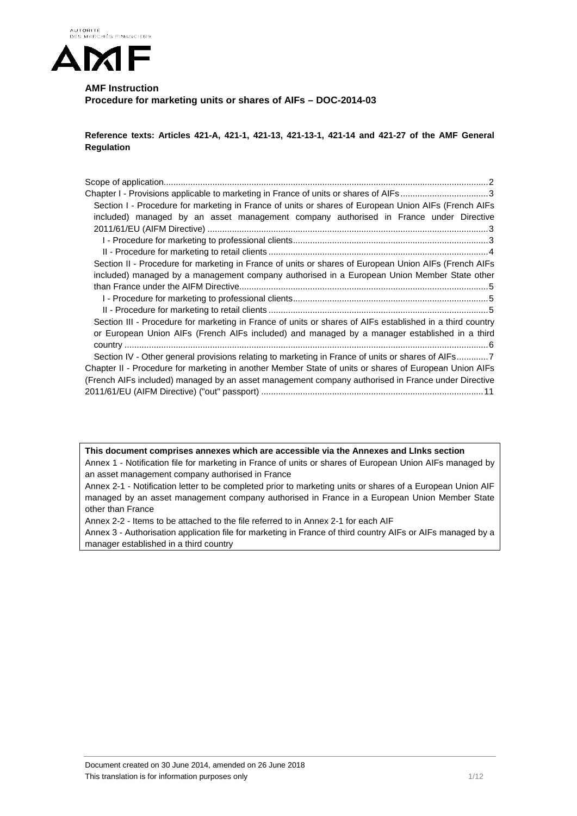

# **AMF Instruction Procedure for marketing units or shares of AIFs – DOC-2014-03**

**Reference texts: Articles 421-A, 421-1, 421-13, 421-13-1, 421-14 and 421-27 of the AMF General Regulation**

| Chapter I - Provisions applicable to marketing in France of units or shares of AIFs3                      |
|-----------------------------------------------------------------------------------------------------------|
| Section I - Procedure for marketing in France of units or shares of European Union AIFs (French AIFs      |
| included) managed by an asset management company authorised in France under Directive                     |
|                                                                                                           |
|                                                                                                           |
|                                                                                                           |
| Section II - Procedure for marketing in France of units or shares of European Union AIFs (French AIFs     |
| included) managed by a management company authorised in a European Union Member State other               |
|                                                                                                           |
|                                                                                                           |
|                                                                                                           |
| Section III - Procedure for marketing in France of units or shares of AIFs established in a third country |
| or European Union AIFs (French AIFs included) and managed by a manager established in a third             |
|                                                                                                           |
| Section IV - Other general provisions relating to marketing in France of units or shares of AIFs7         |
| Chapter II - Procedure for marketing in another Member State of units or shares of European Union AIFs    |
| (French AIFs included) managed by an asset management company authorised in France under Directive        |
|                                                                                                           |

**This document comprises annexes which are accessible via the Annexes and LInks section** Annex 1 - Notification file for marketing in France of units or shares of European Union AIFs managed by an asset management company authorised in France

Annex 2-1 - Notification letter to be completed prior to marketing units or shares of a European Union AIF managed by an asset management company authorised in France in a European Union Member State other than France

Annex 2-2 - Items to be attached to the file referred to in Annex 2-1 for each AIF

<span id="page-0-0"></span>Annex 3 - Authorisation application file for marketing in France of third country AIFs or AIFs managed by a manager established in a third country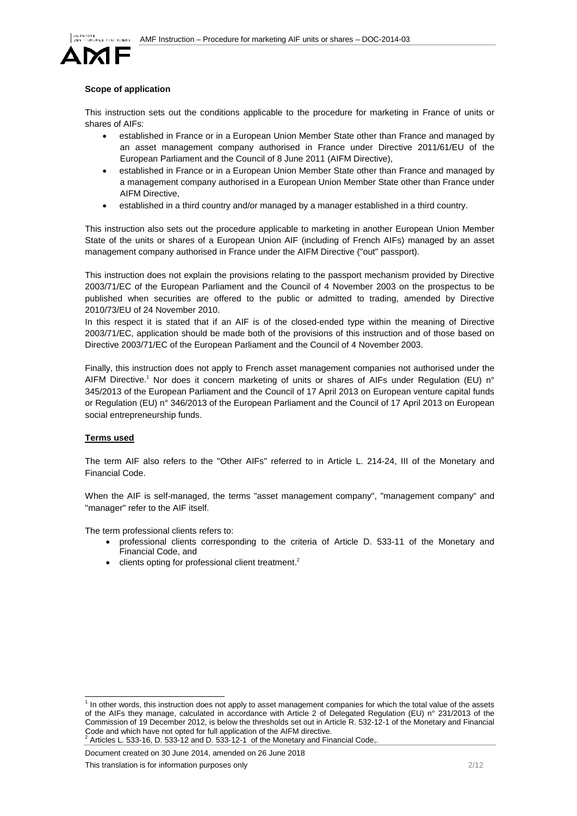

# **Scope of application**

This instruction sets out the conditions applicable to the procedure for marketing in France of units or shares of AIFs:

- established in France or in a European Union Member State other than France and managed by an asset management company authorised in France under Directive 2011/61/EU of the European Parliament and the Council of 8 June 2011 (AIFM Directive),
- established in France or in a European Union Member State other than France and managed by a management company authorised in a European Union Member State other than France under AIFM Directive,
- established in a third country and/or managed by a manager established in a third country.

This instruction also sets out the procedure applicable to marketing in another European Union Member State of the units or shares of a European Union AIF (including of French AIFs) managed by an asset management company authorised in France under the AIFM Directive ("out" passport).

This instruction does not explain the provisions relating to the passport mechanism provided by Directive 2003/71/EC of the European Parliament and the Council of 4 November 2003 on the prospectus to be published when securities are offered to the public or admitted to trading, amended by Directive 2010/73/EU of 24 November 2010.

In this respect it is stated that if an AIF is of the closed-ended type within the meaning of Directive 2003/71/EC, application should be made both of the provisions of this instruction and of those based on Directive 2003/71/EC of the European Parliament and the Council of 4 November 2003.

Finally, this instruction does not apply to French asset management companies not authorised under the AIFM Directive.<sup>1</sup> Nor does it concern marketing of units or shares of AIFs under Regulation (EU) n° 345/2013 of the European Parliament and the Council of 17 April 2013 on European venture capital funds or Regulation (EU) n° 346/2013 of the European Parliament and the Council of 17 April 2013 on European social entrepreneurship funds.

# **Terms used**

The term AIF also refers to the "Other AIFs" referred to in Article L. 214-24, III of the Monetary and Financial Code.

When the AIF is self-managed, the terms "asset management company", "management company" and "manager" refer to the AIF itself.

The term professional clients refers to:

- professional clients corresponding to the criteria of Article D. 533-11 of the Monetary and Financial Code, and
- clients opting for professional client treatment.<sup>2</sup>

Document created on 30 June 2014, amended on 26 June 2018

 $<sup>1</sup>$  In other words, this instruction does not apply to asset management companies for which the total value of the assets</sup> of the AIFs they manage, calculated in accordance with Article 2 of Delegated Regulation (EU) n° 231/2013 of the Commission of 19 December 2012, is below the thresholds set out in Article R. 532-12-1 of the Monetary and Financial Code and which have not opted for full application of the AIFM directive.<br>
<sup>2</sup> Articles L. 533-16, D. 533-12 and D. 533-12-1 of the Monetary and Financial Code,.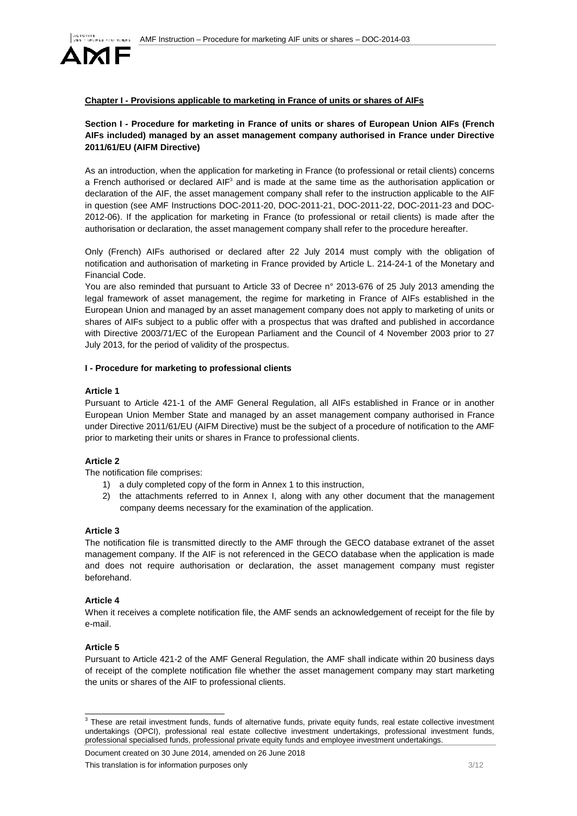

# <span id="page-2-0"></span>**Chapter I - Provisions applicable to marketing in France of units or shares of AIFs**

# <span id="page-2-1"></span>**Section I - Procedure for marketing in France of units or shares of European Union AIFs (French AIFs included) managed by an asset management company authorised in France under Directive 2011/61/EU (AIFM Directive)**

As an introduction, when the application for marketing in France (to professional or retail clients) concerns a French authorised or declared  $AIF<sup>3</sup>$  and is made at the same time as the authorisation application or declaration of the AIF, the asset management company shall refer to the instruction applicable to the AIF in question (see AMF Instructions DOC-2011-20, DOC-2011-21, DOC-2011-22, DOC-2011-23 and DOC-2012-06). If the application for marketing in France (to professional or retail clients) is made after the authorisation or declaration, the asset management company shall refer to the procedure hereafter.

Only (French) AIFs authorised or declared after 22 July 2014 must comply with the obligation of notification and authorisation of marketing in France provided by Article L. 214-24-1 of the Monetary and Financial Code.

You are also reminded that pursuant to Article 33 of Decree n° 2013-676 of 25 July 2013 amending the legal framework of asset management, the regime for marketing in France of AIFs established in the European Union and managed by an asset management company does not apply to marketing of units or shares of AIFs subject to a public offer with a prospectus that was drafted and published in accordance with Directive 2003/71/EC of the European Parliament and the Council of 4 November 2003 prior to 27 July 2013, for the period of validity of the prospectus.

#### <span id="page-2-2"></span>**I - Procedure for marketing to professional clients**

#### **Article 1**

Pursuant to Article 421-1 of the AMF General Regulation, all AIFs established in France or in another European Union Member State and managed by an asset management company authorised in France under Directive 2011/61/EU (AIFM Directive) must be the subject of a procedure of notification to the AMF prior to marketing their units or shares in France to professional clients.

# **Article 2**

The notification file comprises:

- 1) a duly completed copy of the form in Annex 1 to this instruction,
- 2) the attachments referred to in Annex I, along with any other document that the management company deems necessary for the examination of the application.

#### **Article 3**

The notification file is transmitted directly to the AMF through the GECO database extranet of the asset management company. If the AIF is not referenced in the GECO database when the application is made and does not require authorisation or declaration, the asset management company must register beforehand.

# **Article 4**

When it receives a complete notification file, the AMF sends an acknowledgement of receipt for the file by e-mail.

# **Article 5**

Pursuant to Article 421-2 of the AMF General Regulation, the AMF shall indicate within 20 business days of receipt of the complete notification file whether the asset management company may start marketing the units or shares of the AIF to professional clients.

Document created on 30 June 2014, amended on 26 June 2018

<sup>&</sup>lt;sup>3</sup> These are retail investment funds, funds of alternative funds, private equity funds, real estate collective investment undertakings (OPCI), professional real estate collective investment undertakings, professional investment funds, professional specialised funds, professional private equity funds and employee investment undertakings.

This translation is for information purposes only **3/12** SMS and the state of the state of  $3/12$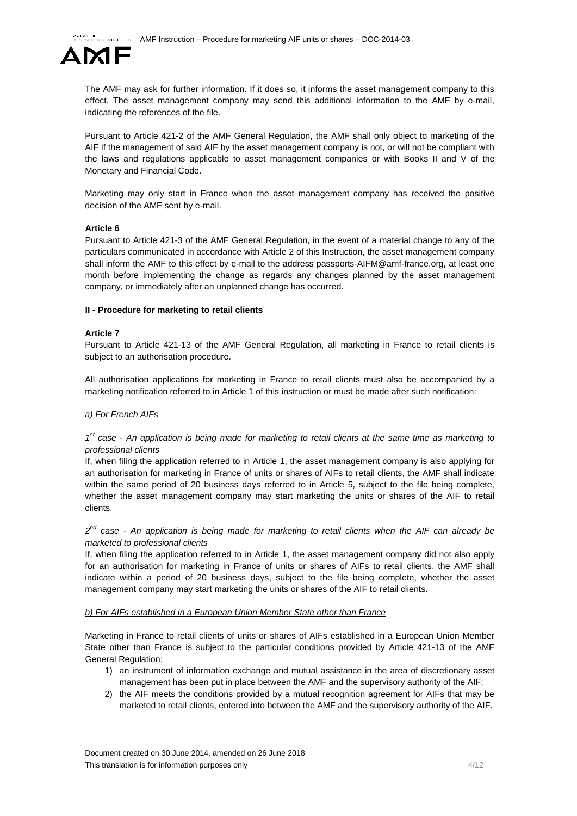

The AMF may ask for further information. If it does so, it informs the asset management company to this effect. The asset management company may send this additional information to the AMF by e-mail, indicating the references of the file.

Pursuant to Article 421-2 of the AMF General Regulation, the AMF shall only object to marketing of the AIF if the management of said AIF by the asset management company is not, or will not be compliant with the laws and regulations applicable to asset management companies or with Books II and V of the Monetary and Financial Code.

Marketing may only start in France when the asset management company has received the positive decision of the AMF sent by e-mail.

# **Article 6**

Pursuant to Article 421-3 of the AMF General Regulation, in the event of a material change to any of the particulars communicated in accordance with Article 2 of this Instruction, the asset management company shall inform the AMF to this effect by e-mail to the address passports-AIFM@amf-france.org, at least one month before implementing the change as regards any changes planned by the asset management company, or immediately after an unplanned change has occurred.

#### <span id="page-3-0"></span>**II - Procedure for marketing to retail clients**

#### **Article 7**

Pursuant to Article 421-13 of the AMF General Regulation, all marketing in France to retail clients is subject to an authorisation procedure.

All authorisation applications for marketing in France to retail clients must also be accompanied by a marketing notification referred to in Article 1 of this instruction or must be made after such notification:

# *a) For French AIFs*

# *1st case - An application is being made for marketing to retail clients at the same time as marketing to professional clients*

If, when filing the application referred to in Article 1, the asset management company is also applying for an authorisation for marketing in France of units or shares of AIFs to retail clients, the AMF shall indicate within the same period of 20 business days referred to in Article 5, subject to the file being complete, whether the asset management company may start marketing the units or shares of the AIF to retail clients.

*2nd case - An application is being made for marketing to retail clients when the AIF can already be marketed to professional clients*

If, when filing the application referred to in Article 1, the asset management company did not also apply for an authorisation for marketing in France of units or shares of AIFs to retail clients, the AMF shall indicate within a period of 20 business days, subject to the file being complete, whether the asset management company may start marketing the units or shares of the AIF to retail clients.

#### *b) For AIFs established in a European Union Member State other than France*

Marketing in France to retail clients of units or shares of AIFs established in a European Union Member State other than France is subject to the particular conditions provided by Article 421-13 of the AMF General Regulation;

- 1) an instrument of information exchange and mutual assistance in the area of discretionary asset management has been put in place between the AMF and the supervisory authority of the AIF;
- 2) the AIF meets the conditions provided by a mutual recognition agreement for AIFs that may be marketed to retail clients, entered into between the AMF and the supervisory authority of the AIF.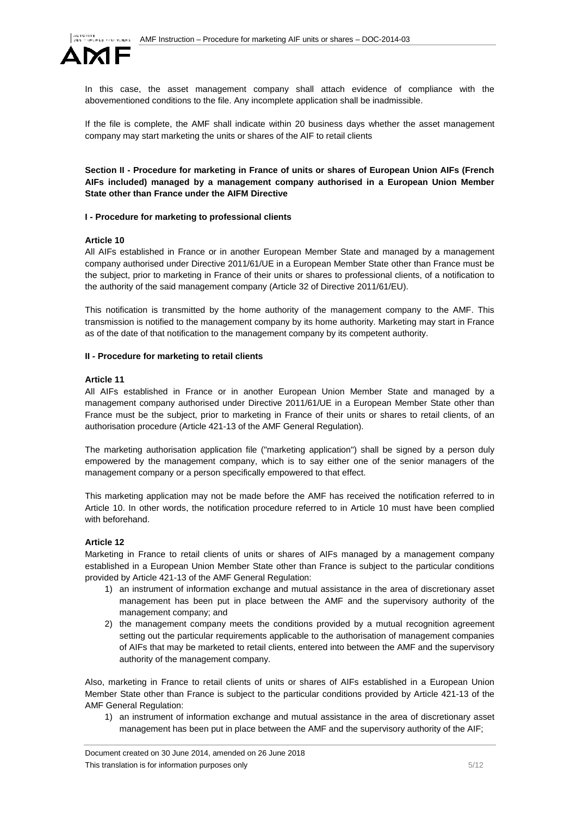

In this case, the asset management company shall attach evidence of compliance with the abovementioned conditions to the file. Any incomplete application shall be inadmissible.

If the file is complete, the AMF shall indicate within 20 business days whether the asset management company may start marketing the units or shares of the AIF to retail clients

<span id="page-4-0"></span>**Section II - Procedure for marketing in France of units or shares of European Union AIFs (French AIFs included) managed by a management company authorised in a European Union Member State other than France under the AIFM Directive**

# <span id="page-4-1"></span>**I - Procedure for marketing to professional clients**

#### **Article 10**

All AIFs established in France or in another European Member State and managed by a management company authorised under Directive 2011/61/UE in a European Member State other than France must be the subject, prior to marketing in France of their units or shares to professional clients, of a notification to the authority of the said management company (Article 32 of Directive 2011/61/EU).

This notification is transmitted by the home authority of the management company to the AMF. This transmission is notified to the management company by its home authority. Marketing may start in France as of the date of that notification to the management company by its competent authority.

# <span id="page-4-2"></span>**II - Procedure for marketing to retail clients**

#### **Article 11**

All AIFs established in France or in another European Union Member State and managed by a management company authorised under Directive 2011/61/UE in a European Member State other than France must be the subject, prior to marketing in France of their units or shares to retail clients, of an authorisation procedure (Article 421-13 of the AMF General Regulation).

The marketing authorisation application file ("marketing application") shall be signed by a person duly empowered by the management company, which is to say either one of the senior managers of the management company or a person specifically empowered to that effect.

This marketing application may not be made before the AMF has received the notification referred to in Article 10. In other words, the notification procedure referred to in Article 10 must have been complied with beforehand.

# **Article 12**

Marketing in France to retail clients of units or shares of AIFs managed by a management company established in a European Union Member State other than France is subject to the particular conditions provided by Article 421-13 of the AMF General Regulation:

- 1) an instrument of information exchange and mutual assistance in the area of discretionary asset management has been put in place between the AMF and the supervisory authority of the management company; and
- 2) the management company meets the conditions provided by a mutual recognition agreement setting out the particular requirements applicable to the authorisation of management companies of AIFs that may be marketed to retail clients, entered into between the AMF and the supervisory authority of the management company.

Also, marketing in France to retail clients of units or shares of AIFs established in a European Union Member State other than France is subject to the particular conditions provided by Article 421-13 of the AMF General Regulation:

1) an instrument of information exchange and mutual assistance in the area of discretionary asset management has been put in place between the AMF and the supervisory authority of the AIF;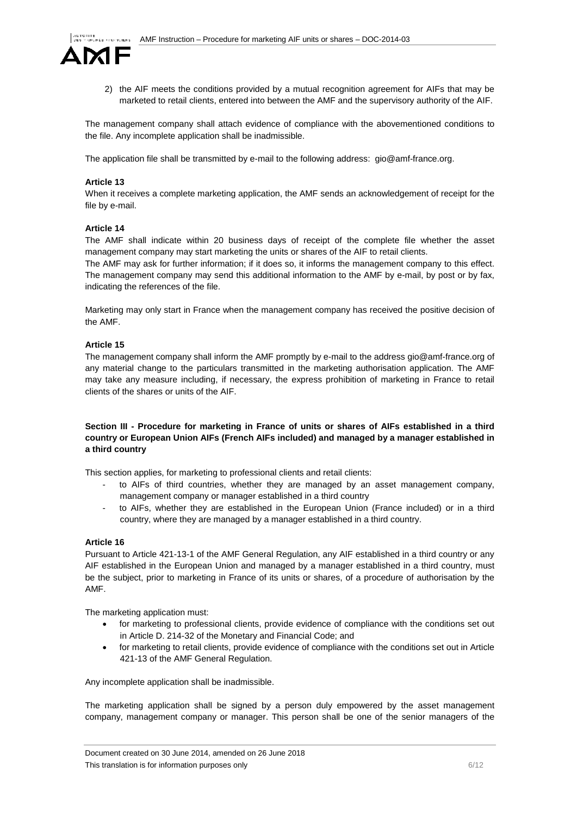

2) the AIF meets the conditions provided by a mutual recognition agreement for AIFs that may be marketed to retail clients, entered into between the AMF and the supervisory authority of the AIF.

The management company shall attach evidence of compliance with the abovementioned conditions to the file. Any incomplete application shall be inadmissible.

The application file shall be transmitted by e-mail to the following address: gio@amf-france.org.

# **Article 13**

When it receives a complete marketing application, the AMF sends an acknowledgement of receipt for the file by e-mail.

# **Article 14**

The AMF shall indicate within 20 business days of receipt of the complete file whether the asset management company may start marketing the units or shares of the AIF to retail clients.

The AMF may ask for further information; if it does so, it informs the management company to this effect. The management company may send this additional information to the AMF by e-mail, by post or by fax, indicating the references of the file.

Marketing may only start in France when the management company has received the positive decision of the AMF.

# **Article 15**

The management company shall inform the AMF promptly by e-mail to the address gio@amf-france.org of any material change to the particulars transmitted in the marketing authorisation application. The AMF may take any measure including, if necessary, the express prohibition of marketing in France to retail clients of the shares or units of the AIF.

# <span id="page-5-0"></span>**Section III - Procedure for marketing in France of units or shares of AIFs established in a third country or European Union AIFs (French AIFs included) and managed by a manager established in a third country**

This section applies, for marketing to professional clients and retail clients:

- to AIFs of third countries, whether they are managed by an asset management company, management company or manager established in a third country
- to AIFs, whether they are established in the European Union (France included) or in a third country, where they are managed by a manager established in a third country.

# **Article 16**

Pursuant to Article 421-13-1 of the AMF General Regulation, any AIF established in a third country or any AIF established in the European Union and managed by a manager established in a third country, must be the subject, prior to marketing in France of its units or shares, of a procedure of authorisation by the AMF.

The marketing application must:

- for marketing to professional clients, provide evidence of compliance with the conditions set out in Article D. 214-32 of the Monetary and Financial Code; and
- for marketing to retail clients, provide evidence of compliance with the conditions set out in Article 421-13 of the AMF General Regulation.

Any incomplete application shall be inadmissible.

The marketing application shall be signed by a person duly empowered by the asset management company, management company or manager. This person shall be one of the senior managers of the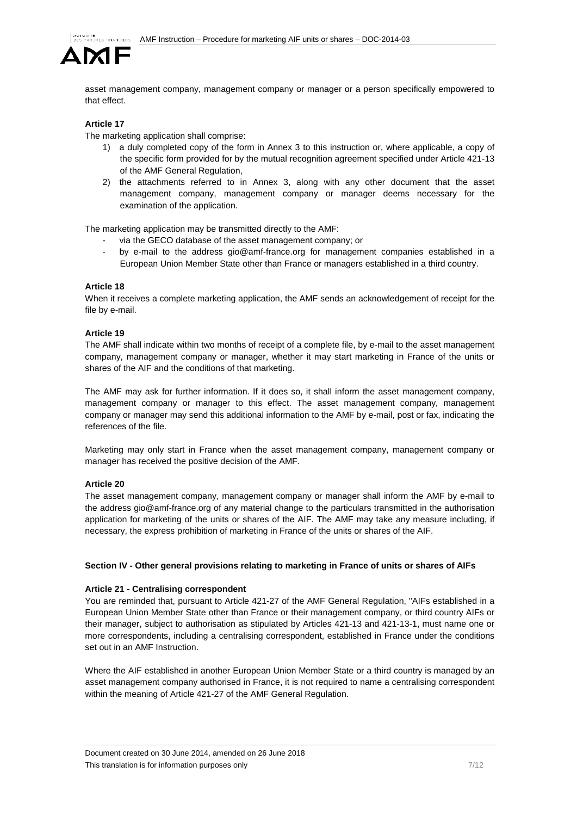

asset management company, management company or manager or a person specifically empowered to that effect.

# **Article 17**

The marketing application shall comprise:

- 1) a duly completed copy of the form in Annex 3 to this instruction or, where applicable, a copy of the specific form provided for by the mutual recognition agreement specified under Article 421-13 of the AMF General Regulation,
- 2) the attachments referred to in Annex 3, along with any other document that the asset management company, management company or manager deems necessary for the examination of the application.

The marketing application may be transmitted directly to the AMF:

- via the GECO database of the asset management company; or
- by e-mail to the address gio@amf-france.org for management companies established in a European Union Member State other than France or managers established in a third country.

# **Article 18**

When it receives a complete marketing application, the AMF sends an acknowledgement of receipt for the file by e-mail.

# **Article 19**

The AMF shall indicate within two months of receipt of a complete file, by e-mail to the asset management company, management company or manager, whether it may start marketing in France of the units or shares of the AIF and the conditions of that marketing.

The AMF may ask for further information. If it does so, it shall inform the asset management company, management company or manager to this effect. The asset management company, management company or manager may send this additional information to the AMF by e-mail, post or fax, indicating the references of the file.

Marketing may only start in France when the asset management company, management company or manager has received the positive decision of the AMF.

# **Article 20**

The asset management company, management company or manager shall inform the AMF by e-mail to the address gio@amf-france.org of any material change to the particulars transmitted in the authorisation application for marketing of the units or shares of the AIF. The AMF may take any measure including, if necessary, the express prohibition of marketing in France of the units or shares of the AIF.

# <span id="page-6-0"></span>**Section IV - Other general provisions relating to marketing in France of units or shares of AIFs**

# **Article 21 - Centralising correspondent**

You are reminded that, pursuant to Article 421-27 of the AMF General Regulation, "AIFs established in a European Union Member State other than France or their management company, or third country AIFs or their manager, subject to authorisation as stipulated by Articles 421-13 and 421-13-1, must name one or more correspondents, including a centralising correspondent, established in France under the conditions set out in an AMF Instruction.

Where the AIF established in another European Union Member State or a third country is managed by an asset management company authorised in France, it is not required to name a centralising correspondent within the meaning of Article 421-27 of the AMF General Regulation.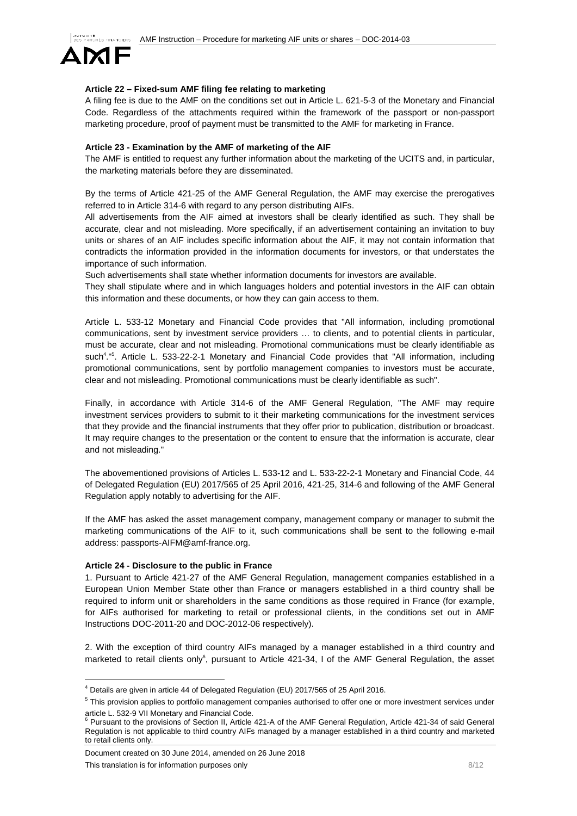

# **Article 22 – Fixed-sum AMF filing fee relating to marketing**

A filing fee is due to the AMF on the conditions set out in Article L. 621-5-3 of the Monetary and Financial Code. Regardless of the attachments required within the framework of the passport or non-passport marketing procedure, proof of payment must be transmitted to the AMF for marketing in France.

# **Article 23 - Examination by the AMF of marketing of the AIF**

The AMF is entitled to request any further information about the marketing of the UCITS and, in particular, the marketing materials before they are disseminated.

By the terms of Article 421-25 of the AMF General Regulation, the AMF may exercise the prerogatives referred to in Article 314-6 with regard to any person distributing AIFs.

All advertisements from the AIF aimed at investors shall be clearly identified as such. They shall be accurate, clear and not misleading. More specifically, if an advertisement containing an invitation to buy units or shares of an AIF includes specific information about the AIF, it may not contain information that contradicts the information provided in the information documents for investors, or that understates the importance of such information.

Such advertisements shall state whether information documents for investors are available.

They shall stipulate where and in which languages holders and potential investors in the AIF can obtain this information and these documents, or how they can gain access to them.

Article L. 533-12 Monetary and Financial Code provides that "All information, including promotional communications, sent by investment service providers … to clients, and to potential clients in particular, must be accurate, clear and not misleading. Promotional communications must be clearly identifiable as such<sup>4</sup>."<sup>5</sup>. Article L. 533-22-2-1 Monetary and Financial Code provides that "All information, including promotional communications, sent by portfolio management companies to investors must be accurate, clear and not misleading. Promotional communications must be clearly identifiable as such".

Finally, in accordance with Article 314-6 of the AMF General Regulation, "The AMF may require investment services providers to submit to it their marketing communications for the investment services that they provide and the financial instruments that they offer prior to publication, distribution or broadcast. It may require changes to the presentation or the content to ensure that the information is accurate, clear and not misleading."

The abovementioned provisions of Articles L. 533-12 and L. 533-22-2-1 Monetary and Financial Code, 44 of Delegated Regulation (EU) 2017/565 of 25 April 2016, 421-25, 314-6 and following of the AMF General Regulation apply notably to advertising for the AIF.

If the AMF has asked the asset management company, management company or manager to submit the marketing communications of the AIF to it, such communications shall be sent to the following e-mail address: passports-AIFM@amf-france.org.

# **Article 24 - Disclosure to the public in France**

1. Pursuant to Article 421-27 of the AMF General Regulation, management companies established in a European Union Member State other than France or managers established in a third country shall be required to inform unit or shareholders in the same conditions as those required in France (for example, for AIFs authorised for marketing to retail or professional clients, in the conditions set out in AMF Instructions DOC-2011-20 and DOC-2012-06 respectively).

2. With the exception of third country AIFs managed by a manager established in a third country and marketed to retail clients only<sup>6</sup>, pursuant to Article 421-34, I of the AMF General Regulation, the asset

Document created on 30 June 2014, amended on 26 June 2018

 <sup>4</sup> Details are given in article 44 of Delegated Regulation (EU) 2017/565 of 25 April 2016.

<sup>&</sup>lt;sup>5</sup> This provision applies to portfolio management companies authorised to offer one or more investment services under article L. 532-9 VII Monetary and Financial Code.<br><sup>6</sup> Pursuant to the provisions of Section II, Article 421-A of the AMF General Regulation, Article 421-34 of said General

Regulation is not applicable to third country AIFs managed by a manager established in a third country and marketed to retail clients only.

This translation is for information purposes only example that the state of  $\frac{8}{12}$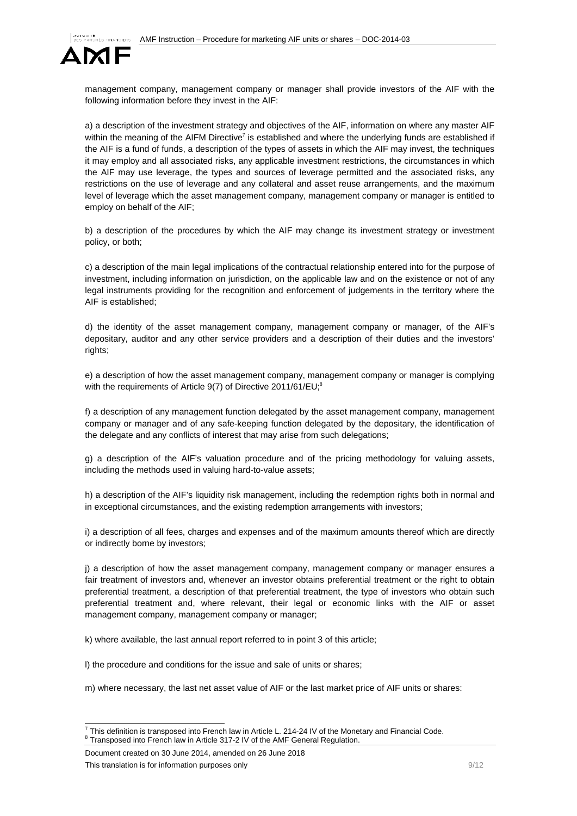

management company, management company or manager shall provide investors of the AIF with the following information before they invest in the AIF:

a) a description of the investment strategy and objectives of the AIF, information on where any master AIF within the meaning of the AIFM Directive<sup>7</sup> is established and where the underlying funds are established if the AIF is a fund of funds, a description of the types of assets in which the AIF may invest, the techniques it may employ and all associated risks, any applicable investment restrictions, the circumstances in which the AIF may use leverage, the types and sources of leverage permitted and the associated risks, any restrictions on the use of leverage and any collateral and asset reuse arrangements, and the maximum level of leverage which the asset management company, management company or manager is entitled to employ on behalf of the AIF;

b) a description of the procedures by which the AIF may change its investment strategy or investment policy, or both;

c) a description of the main legal implications of the contractual relationship entered into for the purpose of investment, including information on jurisdiction, on the applicable law and on the existence or not of any legal instruments providing for the recognition and enforcement of judgements in the territory where the AIF is established;

d) the identity of the asset management company, management company or manager, of the AIF's depositary, auditor and any other service providers and a description of their duties and the investors' rights:

e) a description of how the asset management company, management company or manager is complying with the requirements of Article 9(7) of Directive 2011/61/EU;<sup>8</sup>

f) a description of any management function delegated by the asset management company, management company or manager and of any safe-keeping function delegated by the depositary, the identification of the delegate and any conflicts of interest that may arise from such delegations;

g) a description of the AIF's valuation procedure and of the pricing methodology for valuing assets, including the methods used in valuing hard-to-value assets;

h) a description of the AIF's liquidity risk management, including the redemption rights both in normal and in exceptional circumstances, and the existing redemption arrangements with investors;

i) a description of all fees, charges and expenses and of the maximum amounts thereof which are directly or indirectly borne by investors;

j) a description of how the asset management company, management company or manager ensures a fair treatment of investors and, whenever an investor obtains preferential treatment or the right to obtain preferential treatment, a description of that preferential treatment, the type of investors who obtain such preferential treatment and, where relevant, their legal or economic links with the AIF or asset management company, management company or manager;

k) where available, the last annual report referred to in point 3 of this article;

l) the procedure and conditions for the issue and sale of units or shares;

m) where necessary, the last net asset value of AIF or the last market price of AIF units or shares:

Document created on 30 June 2014, amended on 26 June 2018 This translation is for information purposes only example of the state of the state of  $9/12$ 

<sup>&</sup>lt;sup>7</sup> This definition is transposed into French law in Article L. 214-24 IV of the Monetary and Financial Code. 8 Transposed into French law in Article 317-2 IV of the AMF General Regulation.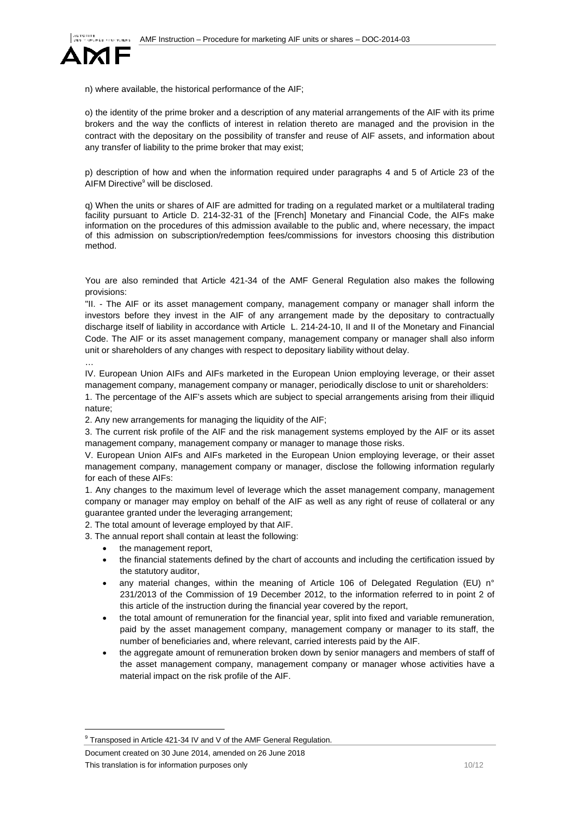

n) where available, the historical performance of the AIF;

o) the identity of the prime broker and a description of any material arrangements of the AIF with its prime brokers and the way the conflicts of interest in relation thereto are managed and the provision in the contract with the depositary on the possibility of transfer and reuse of AIF assets, and information about any transfer of liability to the prime broker that may exist;

p) description of how and when the information required under paragraphs 4 and 5 of Article 23 of the AIFM Directive<sup>9</sup> will be disclosed.

q) When the units or shares of AIF are admitted for trading on a regulated market or a multilateral trading facility pursuant to Article D. 214-32-31 of the [French] Monetary and Financial Code, the AIFs make information on the procedures of this admission available to the public and, where necessary, the impact of this admission on subscription/redemption fees/commissions for investors choosing this distribution method.

You are also reminded that Article 421-34 of the AMF General Regulation also makes the following provisions:

"II. - The AIF or its asset management company, management company or manager shall inform the investors before they invest in the AIF of any arrangement made by the depositary to contractually discharge itself of liability in accordance with Article L. 214-24-10, II and II of the Monetary and Financial Code. The AIF or its asset management company, management company or manager shall also inform unit or shareholders of any changes with respect to depositary liability without delay.

…

IV. European Union AIFs and AIFs marketed in the European Union employing leverage, or their asset management company, management company or manager, periodically disclose to unit or shareholders:

1. The percentage of the AIF's assets which are subject to special arrangements arising from their illiquid nature;

2. Any new arrangements for managing the liquidity of the AIF;

3. The current risk profile of the AIF and the risk management systems employed by the AIF or its asset management company, management company or manager to manage those risks.

V. European Union AIFs and AIFs marketed in the European Union employing leverage, or their asset management company, management company or manager, disclose the following information regularly for each of these AIFs:

1. Any changes to the maximum level of leverage which the asset management company, management company or manager may employ on behalf of the AIF as well as any right of reuse of collateral or any guarantee granted under the leveraging arrangement;

2. The total amount of leverage employed by that AIF.

3. The annual report shall contain at least the following:

- the management report,
- the financial statements defined by the chart of accounts and including the certification issued by the statutory auditor,
- any material changes, within the meaning of Article 106 of Delegated Regulation (EU) n° 231/2013 of the Commission of 19 December 2012, to the information referred to in point 2 of this article of the instruction during the financial year covered by the report,
- the total amount of remuneration for the financial year, split into fixed and variable remuneration, paid by the asset management company, management company or manager to its staff, the number of beneficiaries and, where relevant, carried interests paid by the AIF.
- the aggregate amount of remuneration broken down by senior managers and members of staff of the asset management company, management company or manager whose activities have a material impact on the risk profile of the AIF.

Document created on 30 June 2014, amended on 26 June 2018 This translation is for information purposes only 10/12

<sup>&</sup>lt;sup>9</sup> Transposed in Article 421-34 IV and V of the AMF General Regulation.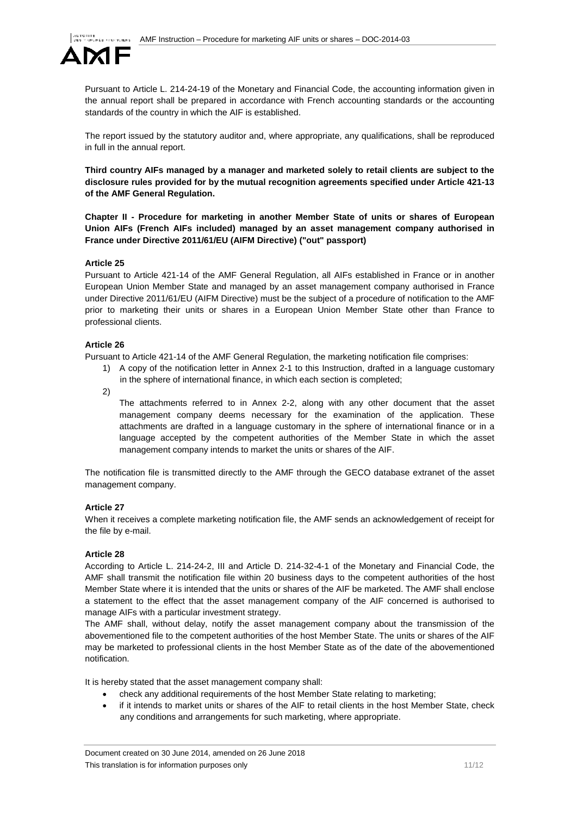

Pursuant to Article L. 214-24-19 of the Monetary and Financial Code, the accounting information given in the annual report shall be prepared in accordance with French accounting standards or the accounting standards of the country in which the AIF is established.

The report issued by the statutory auditor and, where appropriate, any qualifications, shall be reproduced in full in the annual report.

**Third country AIFs managed by a manager and marketed solely to retail clients are subject to the disclosure rules provided for by the mutual recognition agreements specified under Article 421-13 of the AMF General Regulation.**

<span id="page-10-0"></span>**Chapter II - Procedure for marketing in another Member State of units or shares of European Union AIFs (French AIFs included) managed by an asset management company authorised in France under Directive 2011/61/EU (AIFM Directive) ("out" passport)**

# **Article 25**

Pursuant to Article 421-14 of the AMF General Regulation, all AIFs established in France or in another European Union Member State and managed by an asset management company authorised in France under Directive 2011/61/EU (AIFM Directive) must be the subject of a procedure of notification to the AMF prior to marketing their units or shares in a European Union Member State other than France to professional clients.

# **Article 26**

Pursuant to Article 421-14 of the AMF General Regulation, the marketing notification file comprises:

- 1) A copy of the notification letter in Annex 2-1 to this Instruction, drafted in a language customary in the sphere of international finance, in which each section is completed;
- 2)

The attachments referred to in Annex 2-2, along with any other document that the asset management company deems necessary for the examination of the application. These attachments are drafted in a language customary in the sphere of international finance or in a language accepted by the competent authorities of the Member State in which the asset management company intends to market the units or shares of the AIF.

The notification file is transmitted directly to the AMF through the GECO database extranet of the asset management company.

# **Article 27**

When it receives a complete marketing notification file, the AMF sends an acknowledgement of receipt for the file by e-mail.

# **Article 28**

According to Article L. 214-24-2, III and Article D. 214-32-4-1 of the Monetary and Financial Code, the AMF shall transmit the notification file within 20 business days to the competent authorities of the host Member State where it is intended that the units or shares of the AIF be marketed. The AMF shall enclose a statement to the effect that the asset management company of the AIF concerned is authorised to manage AIFs with a particular investment strategy.

The AMF shall, without delay, notify the asset management company about the transmission of the abovementioned file to the competent authorities of the host Member State. The units or shares of the AIF may be marketed to professional clients in the host Member State as of the date of the abovementioned notification.

It is hereby stated that the asset management company shall:

- check any additional requirements of the host Member State relating to marketing;
- if it intends to market units or shares of the AIF to retail clients in the host Member State, check any conditions and arrangements for such marketing, where appropriate.